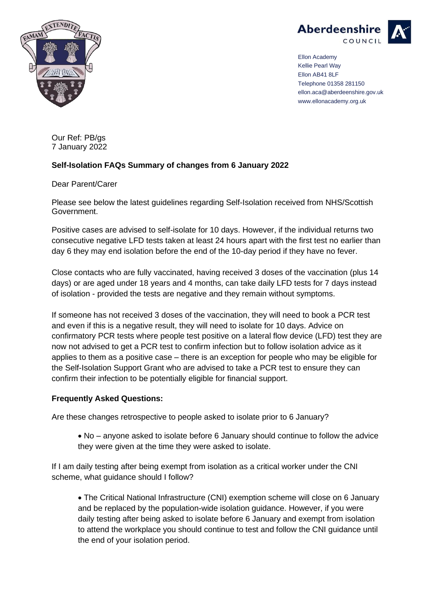



Ellon Academy Kellie Pearl Way Ellon AB41 8LF Telephone 01358 281150 ellon.aca@aberdeenshire.gov.uk www.ellonacademy.org.uk

Our Ref: PB/gs 7 January 2022

## **Self-Isolation FAQs Summary of changes from 6 January 2022**

Dear Parent/Carer

Please see below the latest guidelines regarding Self-Isolation received from NHS/Scottish Government.

Positive cases are advised to self-isolate for 10 days. However, if the individual returns two consecutive negative LFD tests taken at least 24 hours apart with the first test no earlier than day 6 they may end isolation before the end of the 10-day period if they have no fever.

Close contacts who are fully vaccinated, having received 3 doses of the vaccination (plus 14 days) or are aged under 18 years and 4 months, can take daily LFD tests for 7 days instead of isolation - provided the tests are negative and they remain without symptoms.

If someone has not received 3 doses of the vaccination, they will need to book a PCR test and even if this is a negative result, they will need to isolate for 10 days. Advice on confirmatory PCR tests where people test positive on a lateral flow device (LFD) test they are now not advised to get a PCR test to confirm infection but to follow isolation advice as it applies to them as a positive case – there is an exception for people who may be eligible for the Self-Isolation Support Grant who are advised to take a PCR test to ensure they can confirm their infection to be potentially eligible for financial support.

## **Frequently Asked Questions:**

Are these changes retrospective to people asked to isolate prior to 6 January?

• No – anyone asked to isolate before 6 January should continue to follow the advice they were given at the time they were asked to isolate.

If I am daily testing after being exempt from isolation as a critical worker under the CNI scheme, what guidance should I follow?

• The Critical National Infrastructure (CNI) exemption scheme will close on 6 January and be replaced by the population-wide isolation guidance. However, if you were daily testing after being asked to isolate before 6 January and exempt from isolation to attend the workplace you should continue to test and follow the CNI guidance until the end of your isolation period.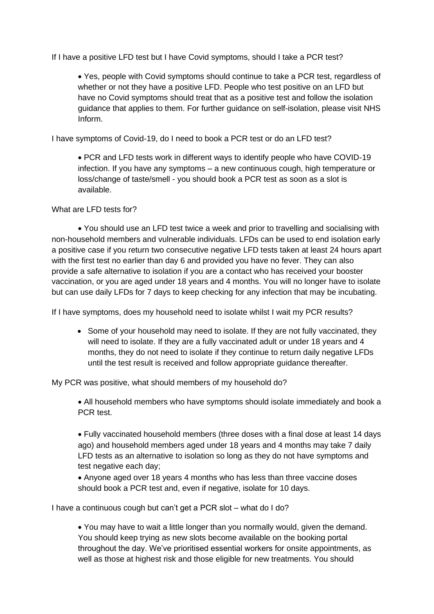If I have a positive LFD test but I have Covid symptoms, should I take a PCR test?

• Yes, people with Covid symptoms should continue to take a PCR test, regardless of whether or not they have a positive LFD. People who test positive on an LFD but have no Covid symptoms should treat that as a positive test and follow the isolation guidance that applies to them. For further guidance on self-isolation, please visit NHS Inform.

I have symptoms of Covid-19, do I need to book a PCR test or do an LFD test?

• PCR and LFD tests work in different ways to identify people who have COVID-19 infection. If you have any symptoms – a new continuous cough, high temperature or loss/change of taste/smell - you should book a PCR test as soon as a slot is available.

What are LFD tests for?

• You should use an LFD test twice a week and prior to travelling and socialising with non-household members and vulnerable individuals. LFDs can be used to end isolation early a positive case if you return two consecutive negative LFD tests taken at least 24 hours apart with the first test no earlier than day 6 and provided you have no fever. They can also provide a safe alternative to isolation if you are a contact who has received your booster vaccination, or you are aged under 18 years and 4 months. You will no longer have to isolate but can use daily LFDs for 7 days to keep checking for any infection that may be incubating.

If I have symptoms, does my household need to isolate whilst I wait my PCR results?

• Some of your household may need to isolate. If they are not fully vaccinated, they will need to isolate. If they are a fully vaccinated adult or under 18 years and 4 months, they do not need to isolate if they continue to return daily negative LFDs until the test result is received and follow appropriate guidance thereafter.

My PCR was positive, what should members of my household do?

• All household members who have symptoms should isolate immediately and book a PCR test.

• Fully vaccinated household members (three doses with a final dose at least 14 days ago) and household members aged under 18 years and 4 months may take 7 daily LFD tests as an alternative to isolation so long as they do not have symptoms and test negative each day;

• Anyone aged over 18 years 4 months who has less than three vaccine doses should book a PCR test and, even if negative, isolate for 10 days.

I have a continuous cough but can't get a PCR slot – what do I do?

• You may have to wait a little longer than you normally would, given the demand. You should keep trying as new slots become available on the booking portal throughout the day. We've prioritised essential workers for onsite appointments, as well as those at highest risk and those eligible for new treatments. You should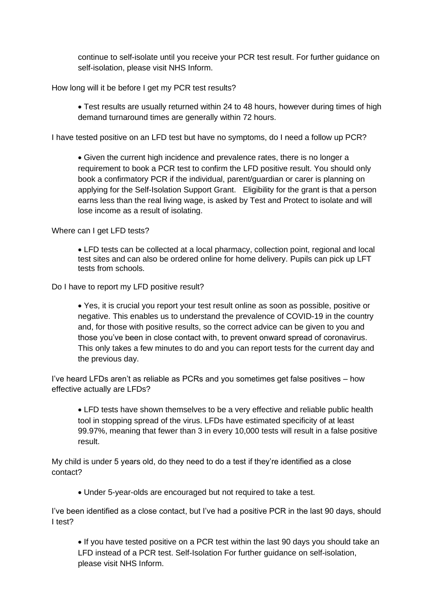continue to self-isolate until you receive your PCR test result. For further guidance on self-isolation, please visit NHS Inform.

How long will it be before I get my PCR test results?

• Test results are usually returned within 24 to 48 hours, however during times of high demand turnaround times are generally within 72 hours.

I have tested positive on an LFD test but have no symptoms, do I need a follow up PCR?

• Given the current high incidence and prevalence rates, there is no longer a requirement to book a PCR test to confirm the LFD positive result. You should only book a confirmatory PCR if the individual, parent/guardian or carer is planning on applying for the Self-Isolation Support Grant. Eligibility for the grant is that a person earns less than the real living wage, is asked by Test and Protect to isolate and will lose income as a result of isolating.

Where can I get LFD tests?

• LFD tests can be collected at a local pharmacy, collection point, regional and local test sites and can also be ordered online for home delivery. Pupils can pick up LFT tests from schools.

Do I have to report my LFD positive result?

• Yes, it is crucial you report your test result online as soon as possible, positive or negative. This enables us to understand the prevalence of COVID-19 in the country and, for those with positive results, so the correct advice can be given to you and those you've been in close contact with, to prevent onward spread of coronavirus. This only takes a few minutes to do and you can report tests for the current day and the previous day.

I've heard LFDs aren't as reliable as PCRs and you sometimes get false positives – how effective actually are LFDs?

• LFD tests have shown themselves to be a very effective and reliable public health tool in stopping spread of the virus. LFDs have estimated specificity of at least 99.97%, meaning that fewer than 3 in every 10,000 tests will result in a false positive result.

My child is under 5 years old, do they need to do a test if they're identified as a close contact?

• Under 5-year-olds are encouraged but not required to take a test.

I've been identified as a close contact, but I've had a positive PCR in the last 90 days, should I test?

• If you have tested positive on a PCR test within the last 90 days you should take an LFD instead of a PCR test. Self-Isolation For further guidance on self-isolation, please visit NHS Inform.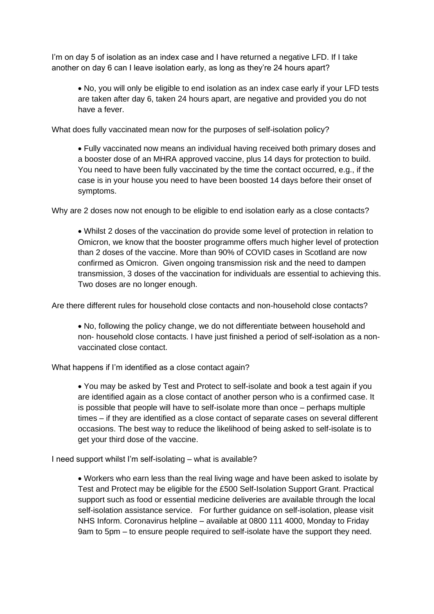I'm on day 5 of isolation as an index case and I have returned a negative LFD. If I take another on day 6 can I leave isolation early, as long as they're 24 hours apart?

• No, you will only be eligible to end isolation as an index case early if your LFD tests are taken after day 6, taken 24 hours apart, are negative and provided you do not have a fever.

What does fully vaccinated mean now for the purposes of self-isolation policy?

• Fully vaccinated now means an individual having received both primary doses and a booster dose of an MHRA approved vaccine, plus 14 days for protection to build. You need to have been fully vaccinated by the time the contact occurred, e.g., if the case is in your house you need to have been boosted 14 days before their onset of symptoms.

Why are 2 doses now not enough to be eligible to end isolation early as a close contacts?

• Whilst 2 doses of the vaccination do provide some level of protection in relation to Omicron, we know that the booster programme offers much higher level of protection than 2 doses of the vaccine. More than 90% of COVID cases in Scotland are now confirmed as Omicron. Given ongoing transmission risk and the need to dampen transmission, 3 doses of the vaccination for individuals are essential to achieving this. Two doses are no longer enough.

Are there different rules for household close contacts and non-household close contacts?

• No, following the policy change, we do not differentiate between household and non- household close contacts. I have just finished a period of self-isolation as a nonvaccinated close contact.

What happens if I'm identified as a close contact again?

• You may be asked by Test and Protect to self-isolate and book a test again if you are identified again as a close contact of another person who is a confirmed case. It is possible that people will have to self-isolate more than once – perhaps multiple times – if they are identified as a close contact of separate cases on several different occasions. The best way to reduce the likelihood of being asked to self-isolate is to get your third dose of the vaccine.

I need support whilst I'm self-isolating – what is available?

• Workers who earn less than the real living wage and have been asked to isolate by Test and Protect may be eligible for the £500 Self-Isolation Support Grant. Practical support such as food or essential medicine deliveries are available through the local self-isolation assistance service. For further guidance on self-isolation, please visit NHS Inform. Coronavirus helpline – available at 0800 111 4000, Monday to Friday 9am to 5pm – to ensure people required to self-isolate have the support they need.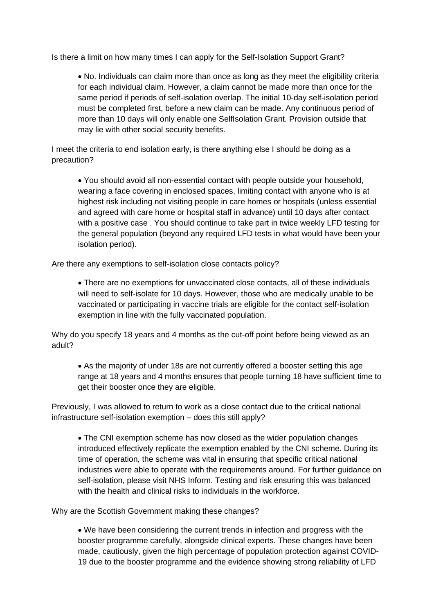Is there a limit on how many times I can apply for the Self-Isolation Support Grant?

• No. Individuals can claim more than once as long as they meet the eligibility criteria for each individual claim. However, a claim cannot be made more than once for the same period if periods of self-isolation overlap. The initial 10-day self-isolation period must be completed first, before a new claim can be made. Any continuous period of more than 10 days will only enable one SelfIsolation Grant. Provision outside that may lie with other social security benefits.

I meet the criteria to end isolation early, is there anything else I should be doing as a precaution?

• You should avoid all non-essential contact with people outside your household, wearing a face covering in enclosed spaces, limiting contact with anyone who is at highest risk including not visiting people in care homes or hospitals (unless essential and agreed with care home or hospital staff in advance) until 10 days after contact with a positive case . You should continue to take part in twice weekly LFD testing for the general population (beyond any required LFD tests in what would have been your isolation period).

Are there any exemptions to self-isolation close contacts policy?

• There are no exemptions for unvaccinated close contacts, all of these individuals will need to self-isolate for 10 days. However, those who are medically unable to be vaccinated or participating in vaccine trials are eligible for the contact self-isolation exemption in line with the fully vaccinated population.

Why do you specify 18 years and 4 months as the cut-off point before being viewed as an adult?

• As the majority of under 18s are not currently offered a booster setting this age range at 18 years and 4 months ensures that people turning 18 have sufficient time to get their booster once they are eligible.

Previously, I was allowed to return to work as a close contact due to the critical national infrastructure self-isolation exemption – does this still apply?

• The CNI exemption scheme has now closed as the wider population changes introduced effectively replicate the exemption enabled by the CNI scheme. During its time of operation, the scheme was vital in ensuring that specific critical national industries were able to operate with the requirements around. For further guidance on self-isolation, please visit NHS Inform. Testing and risk ensuring this was balanced with the health and clinical risks to individuals in the workforce.

Why are the Scottish Government making these changes?

• We have been considering the current trends in infection and progress with the booster programme carefully, alongside clinical experts. These changes have been made, cautiously, given the high percentage of population protection against COVID-19 due to the booster programme and the evidence showing strong reliability of LFD